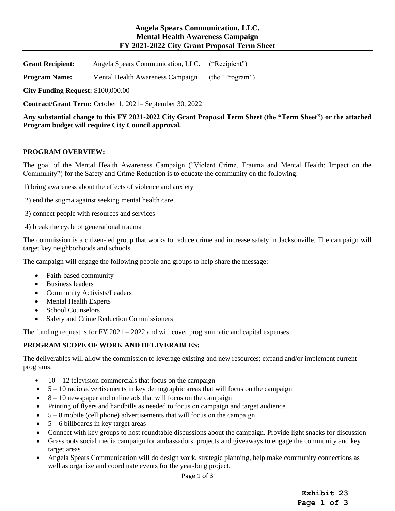# **Angela Spears Communication, LLC. Mental Health Awareness Campaign FY 2021-2022 City Grant Proposal Term Sheet**

**Grant Recipient:** Angela Spears Communication, LLC. ("Recipient")

**Program Name:** Mental Health Awareness Campaign (the "Program")

**City Funding Request:** \$100,000.00

**Contract/Grant Term:** October 1, 2021– September 30, 2022

**Any substantial change to this FY 2021-2022 City Grant Proposal Term Sheet (the "Term Sheet") or the attached Program budget will require City Council approval.** 

### **PROGRAM OVERVIEW:**

The goal of the Mental Health Awareness Campaign ("Violent Crime, Trauma and Mental Health: Impact on the Community") for the Safety and Crime Reduction is to educate the community on the following:

- 1) bring awareness about the effects of violence and anxiety
- 2) end the stigma against seeking mental health care
- 3) connect people with resources and services
- 4) break the cycle of generational trauma

The commission is a citizen-led group that works to reduce crime and increase safety in Jacksonville. The campaign will target key neighborhoods and schools.

The campaign will engage the following people and groups to help share the message:

- Faith-based community
- Business leaders
- Community Activists/Leaders
- Mental Health Experts
- School Counselors
- Safety and Crime Reduction Commissioners

The funding request is for FY 2021 – 2022 and will cover programmatic and capital expenses

## **PROGRAM SCOPE OF WORK AND DELIVERABLES:**

The deliverables will allow the commission to leverage existing and new resources; expand and/or implement current programs:

- $\bullet$  10 12 television commercials that focus on the campaign
- $\bullet$  5 10 radio advertisements in key demographic areas that will focus on the campaign
- $\bullet$  8 10 newspaper and online ads that will focus on the campaign
- Printing of flyers and handbills as needed to focus on campaign and target audience
- $\bullet$  5 8 mobile (cell phone) advertisements that will focus on the campaign
- $\bullet$  5 6 billboards in key target areas
- Connect with key groups to host roundtable discussions about the campaign. Provide light snacks for discussion
- Grassroots social media campaign for ambassadors, projects and giveaways to engage the community and key target areas
- Angela Spears Communication will do design work, strategic planning, help make community connections as well as organize and coordinate events for the year-long project.

Page 1 of 3

**Exhibit 23 Page 1 of 3**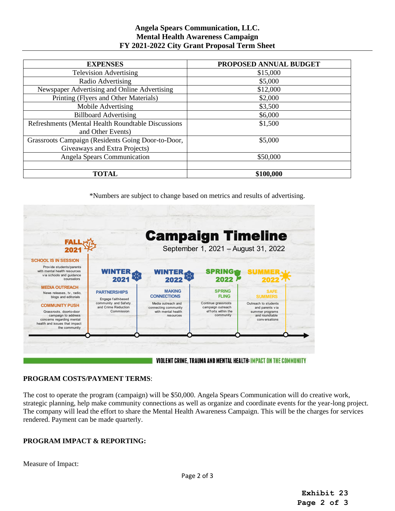# **Angela Spears Communication, LLC. Mental Health Awareness Campaign FY 2021-2022 City Grant Proposal Term Sheet**

| <b>EXPENSES</b>                                    | PROPOSED ANNUAL BUDGET |
|----------------------------------------------------|------------------------|
| <b>Television Advertising</b>                      | \$15,000               |
| Radio Advertising                                  | \$5,000                |
| Newspaper Advertising and Online Advertising       | \$12,000               |
| Printing (Flyers and Other Materials)              | \$2,000                |
| Mobile Advertising                                 | \$3,500                |
| <b>Billboard Advertising</b>                       | \$6,000                |
| Refreshments (Mental Health Roundtable Discussions | \$1,500                |
| and Other Events)                                  |                        |
| Grassroots Campaign (Residents Going Door-to-Door, | \$5,000                |
| Giveaways and Extra Projects)                      |                        |
| Angela Spears Communication                        | \$50,000               |
|                                                    |                        |
| <b>TOTAL</b>                                       | \$100,000              |

\*Numbers are subject to change based on metrics and results of advertising.



## **PROGRAM COSTS/PAYMENT TERMS**:

The cost to operate the program (campaign) will be \$50,000. Angela Spears Communication will do creative work, strategic planning, help make community connections as well as organize and coordinate events for the year-long project. The company will lead the effort to share the Mental Health Awareness Campaign. This will be the charges for services rendered. Payment can be made quarterly.

## **PROGRAM IMPACT & REPORTING:**

Measure of Impact: